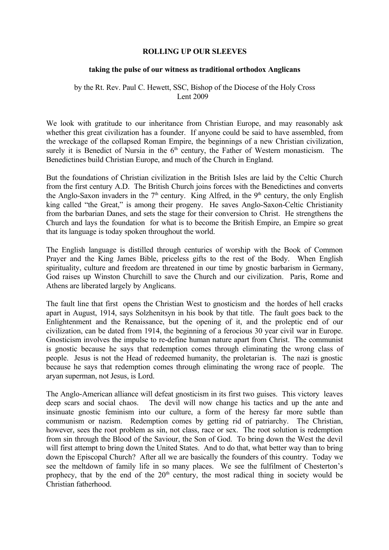## **ROLLING UP OUR SLEEVES**

## **taking the pulse of our witness as traditional orthodox Anglicans**

## by the Rt. Rev. Paul C. Hewett, SSC, Bishop of the Diocese of the Holy Cross Lent 2009

We look with gratitude to our inheritance from Christian Europe, and may reasonably ask whether this great civilization has a founder. If anyone could be said to have assembled, from the wreckage of the collapsed Roman Empire, the beginnings of a new Christian civilization, surely it is Benedict of Nursia in the  $6<sup>th</sup>$  century, the Father of Western monasticism. The Benedictines build Christian Europe, and much of the Church in England.

But the foundations of Christian civilization in the British Isles are laid by the Celtic Church from the first century A.D. The British Church joins forces with the Benedictines and converts the Anglo-Saxon invaders in the  $7<sup>th</sup>$  century. King Alfred, in the  $9<sup>th</sup>$  century, the only English king called "the Great," is among their progeny. He saves Anglo-Saxon-Celtic Christianity from the barbarian Danes, and sets the stage for their conversion to Christ. He strengthens the Church and lays the foundation for what is to become the British Empire, an Empire so great that its language is today spoken throughout the world.

The English language is distilled through centuries of worship with the Book of Common Prayer and the King James Bible, priceless gifts to the rest of the Body. When English spirituality, culture and freedom are threatened in our time by gnostic barbarism in Germany, God raises up Winston Churchill to save the Church and our civilization. Paris, Rome and Athens are liberated largely by Anglicans.

The fault line that first opens the Christian West to gnosticism and the hordes of hell cracks apart in August, 1914, says Solzhenitsyn in his book by that title. The fault goes back to the Enlightenment and the Renaissance, but the opening of it, and the proleptic end of our civilization, can be dated from 1914, the beginning of a ferocious 30 year civil war in Europe. Gnosticism involves the impulse to re-define human nature apart from Christ. The communist is gnostic because he says that redemption comes through eliminating the wrong class of people. Jesus is not the Head of redeemed humanity, the proletarian is. The nazi is gnostic because he says that redemption comes through eliminating the wrong race of people. The aryan superman, not Jesus, is Lord.

The Anglo-American alliance will defeat gnosticism in its first two guises. This victory leaves deep scars and social chaos. The devil will now change his tactics and up the ante and insinuate gnostic feminism into our culture, a form of the heresy far more subtle than communism or nazism. Redemption comes by getting rid of patriarchy. The Christian, however, sees the root problem as sin, not class, race or sex. The root solution is redemption from sin through the Blood of the Saviour, the Son of God. To bring down the West the devil will first attempt to bring down the United States. And to do that, what better way than to bring down the Episcopal Church? After all we are basically the founders of this country. Today we see the meltdown of family life in so many places. We see the fulfilment of Chesterton's prophecy, that by the end of the  $20<sup>th</sup>$  century, the most radical thing in society would be Christian fatherhood.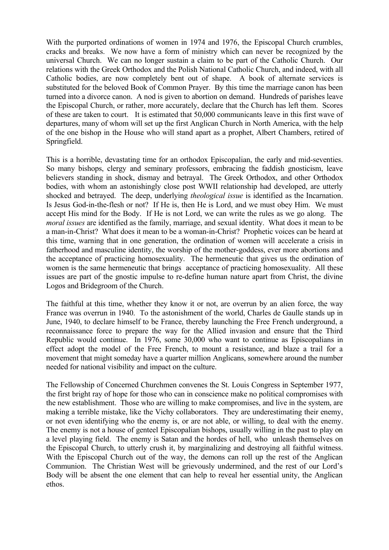With the purported ordinations of women in 1974 and 1976, the Episcopal Church crumbles, cracks and breaks. We now have a form of ministry which can never be recognized by the universal Church. We can no longer sustain a claim to be part of the Catholic Church. Our relations with the Greek Orthodox and the Polish National Catholic Church, and indeed, with all Catholic bodies, are now completely bent out of shape. A book of alternate services is substituted for the beloved Book of Common Prayer. By this time the marriage canon has been turned into a divorce canon. A nod is given to abortion on demand. Hundreds of parishes leave the Episcopal Church, or rather, more accurately, declare that the Church has left them. Scores of these are taken to court. It is estimated that 50,000 communicants leave in this first wave of departures, many of whom will set up the first Anglican Church in North America, with the help of the one bishop in the House who will stand apart as a prophet, Albert Chambers, retired of Springfield.

This is a horrible, devastating time for an orthodox Episcopalian, the early and mid-seventies. So many bishops, clergy and seminary professors, embracing the faddish gnosticism, leave believers standing in shock, dismay and betrayal. The Greek Orthodox, and other Orthodox bodies, with whom an astonishingly close post WWII relationship had developed, are utterly shocked and betrayed. The deep, underlying *theological issue* is identified as the Incarnation. Is Jesus God-in-the-flesh or not? If He is, then He is Lord, and we must obey Him. We must accept His mind for the Body. If He is not Lord, we can write the rules as we go along. The *moral issues* are identified as the family, marriage, and sexual identity. What does it mean to be a man-in-Christ? What does it mean to be a woman-in-Christ? Prophetic voices can be heard at this time, warning that in one generation, the ordination of women will accelerate a crisis in fatherhood and masculine identity, the worship of the mother-goddess, ever more abortions and the acceptance of practicing homosexuality. The hermeneutic that gives us the ordination of women is the same hermeneutic that brings acceptance of practicing homosexuality. All these issues are part of the gnostic impulse to re-define human nature apart from Christ, the divine Logos and Bridegroom of the Church.

The faithful at this time, whether they know it or not, are overrun by an alien force, the way France was overrun in 1940. To the astonishment of the world, Charles de Gaulle stands up in June, 1940, to declare himself to be France, thereby launching the Free French underground, a reconnaissance force to prepare the way for the Allied invasion and ensure that the Third Republic would continue. In 1976, some 30,000 who want to continue as Episcopalians in effect adopt the model of the Free French, to mount a resistance, and blaze a trail for a movement that might someday have a quarter million Anglicans, somewhere around the number needed for national visibility and impact on the culture.

The Fellowship of Concerned Churchmen convenes the St. Louis Congress in September 1977, the first bright ray of hope for those who can in conscience make no political compromises with the new establishment. Those who are willing to make compromises, and live in the system, are making a terrible mistake, like the Vichy collaborators. They are underestimating their enemy, or not even identifying who the enemy is, or are not able, or willing, to deal with the enemy. The enemy is not a house of genteel Episcopalian bishops, usually willing in the past to play on a level playing field. The enemy is Satan and the hordes of hell, who unleash themselves on the Episcopal Church, to utterly crush it, by marginalizing and destroying all faithful witness. With the Episcopal Church out of the way, the demons can roll up the rest of the Anglican Communion. The Christian West will be grievously undermined, and the rest of our Lord's Body will be absent the one element that can help to reveal her essential unity, the Anglican ethos.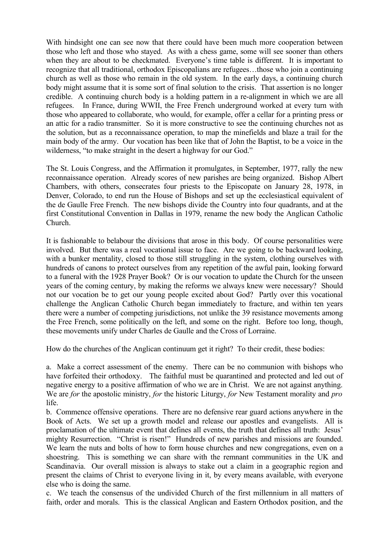With hindsight one can see now that there could have been much more cooperation between those who left and those who stayed. As with a chess game, some will see sooner than others when they are about to be checkmated. Everyone's time table is different. It is important to recognize that all traditional, orthodox Episcopalians are refugees…those who join a continuing church as well as those who remain in the old system. In the early days, a continuing church body might assume that it is some sort of final solution to the crisis. That assertion is no longer credible. A continuing church body is a holding pattern in a re-alignment in which we are all refugees. In France, during WWII, the Free French underground worked at every turn with those who appeared to collaborate, who would, for example, offer a cellar for a printing press or an attic for a radio transmitter. So it is more constructive to see the continuing churches not as the solution, but as a reconnaissance operation, to map the minefields and blaze a trail for the main body of the army. Our vocation has been like that of John the Baptist, to be a voice in the wilderness, "to make straight in the desert a highway for our God."

The St. Louis Congress, and the Affirmation it promulgates, in September, 1977, rally the new reconnaissance operation. Already scores of new parishes are being organized. Bishop Albert Chambers, with others, consecrates four priests to the Episcopate on January 28, 1978, in Denver, Colorado, to end run the House of Bishops and set up the ecclesiastical equivalent of the de Gaulle Free French. The new bishops divide the Country into four quadrants, and at the first Constitutional Convention in Dallas in 1979, rename the new body the Anglican Catholic Church.

It is fashionable to belabour the divisions that arose in this body. Of course personalities were involved. But there was a real vocational issue to face. Are we going to be backward looking, with a bunker mentality, closed to those still struggling in the system, clothing ourselves with hundreds of canons to protect ourselves from any repetition of the awful pain, looking forward to a funeral with the 1928 Prayer Book? Or is our vocation to update the Church for the unseen years of the coming century, by making the reforms we always knew were necessary? Should not our vocation be to get our young people excited about God? Partly over this vocational challenge the Anglican Catholic Church began immediately to fracture, and within ten years there were a number of competing jurisdictions, not unlike the 39 resistance movements among the Free French, some politically on the left, and some on the right. Before too long, though, these movements unify under Charles de Gaulle and the Cross of Lorraine.

How do the churches of the Anglican continuum get it right? To their credit, these bodies:

a. Make a correct assessment of the enemy. There can be no communion with bishops who have forfeited their orthodoxy. The faithful must be quarantined and protected and led out of negative energy to a positive affirmation of who we are in Christ. We are not against anything. We are *for* the apostolic ministry, *for* the historic Liturgy, *for* New Testament morality and *pro* life.

b. Commence offensive operations. There are no defensive rear guard actions anywhere in the Book of Acts. We set up a growth model and release our apostles and evangelists. All is proclamation of the ultimate event that defines all events, the truth that defines all truth: Jesus' mighty Resurrection. "Christ is risen!" Hundreds of new parishes and missions are founded. We learn the nuts and bolts of how to form house churches and new congregations, even on a shoestring. This is something we can share with the remnant communities in the UK and Scandinavia. Our overall mission is always to stake out a claim in a geographic region and present the claims of Christ to everyone living in it, by every means available, with everyone else who is doing the same.

c. We teach the consensus of the undivided Church of the first millennium in all matters of faith, order and morals. This is the classical Anglican and Eastern Orthodox position, and the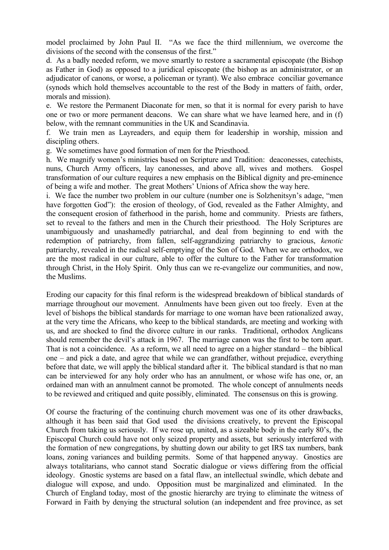model proclaimed by John Paul II. "As we face the third millennium, we overcome the divisions of the second with the consensus of the first."

d. As a badly needed reform, we move smartly to restore a sacramental episcopate (the Bishop as Father in God) as opposed to a juridical episcopate (the bishop as an administrator, or an adjudicator of canons, or worse, a policeman or tyrant). We also embrace conciliar governance (synods which hold themselves accountable to the rest of the Body in matters of faith, order, morals and mission).

e. We restore the Permanent Diaconate for men, so that it is normal for every parish to have one or two or more permanent deacons. We can share what we have learned here, and in (f) below, with the remnant communities in the UK and Scandinavia.

f. We train men as Layreaders, and equip them for leadership in worship, mission and discipling others.

g. We sometimes have good formation of men for the Priesthood.

h. We magnify women's ministries based on Scripture and Tradition: deaconesses, catechists, nuns, Church Army officers, lay canonesses, and above all, wives and mothers. Gospel transformation of our culture requires a new emphasis on the Biblical dignity and pre-eminence of being a wife and mother. The great Mothers' Unions of Africa show the way here.

i. We face the number two problem in our culture (number one is Solzhenitsyn's adage, "men have forgotten God"): the erosion of theology, of God, revealed as the Father Almighty, and the consequent erosion of fatherhood in the parish, home and community. Priests are fathers, set to reveal to the fathers and men in the Church their priesthood. The Holy Scriptures are unambiguously and unashamedly patriarchal, and deal from beginning to end with the redemption of patriarchy, from fallen, self-aggrandizing patriarchy to gracious, *kenotic* patriarchy, revealed in the radical self-emptying of the Son of God. When we are orthodox, we are the most radical in our culture, able to offer the culture to the Father for transformation through Christ, in the Holy Spirit. Only thus can we re-evangelize our communities, and now, the Muslims.

Eroding our capacity for this final reform is the widespread breakdown of biblical standards of marriage throughout our movement. Annulments have been given out too freely. Even at the level of bishops the biblical standards for marriage to one woman have been rationalized away, at the very time the Africans, who keep to the biblical standards, are meeting and working with us, and are shocked to find the divorce culture in our ranks. Traditional, orthodox Anglicans should remember the devil's attack in 1967. The marriage canon was the first to be torn apart. That is not a coincidence. As a reform, we all need to agree on a higher standard – the biblical one – and pick a date, and agree that while we can grandfather, without prejudice, everything before that date, we will apply the biblical standard after it. The biblical standard is that no man can be interviewed for any holy order who has an annulment, or whose wife has one, or, an ordained man with an annulment cannot be promoted. The whole concept of annulments needs to be reviewed and critiqued and quite possibly, eliminated. The consensus on this is growing.

Of course the fracturing of the continuing church movement was one of its other drawbacks, although it has been said that God used the divisions creatively, to prevent the Episcopal Church from taking us seriously. If we rose up, united, as a sizeable body in the early 80's, the Episcopal Church could have not only seized property and assets, but seriously interfered with the formation of new congregations, by shutting down our ability to get IRS tax numbers, bank loans, zoning variances and building permits. Some of that happened anyway. Gnostics are always totalitarians, who cannot stand Socratic dialogue or views differing from the official ideology. Gnostic systems are based on a fatal flaw, an intellectual swindle, which debate and dialogue will expose, and undo. Opposition must be marginalized and eliminated. In the Church of England today, most of the gnostic hierarchy are trying to eliminate the witness of Forward in Faith by denying the structural solution (an independent and free province, as set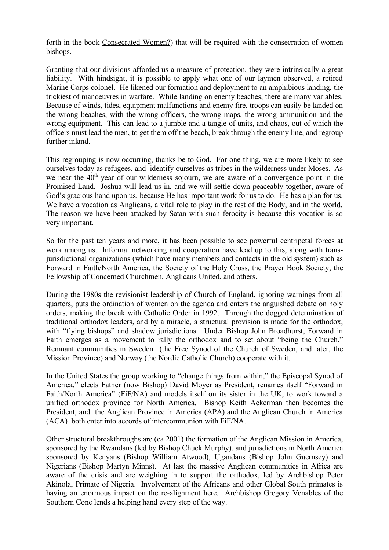forth in the book Consecrated Women?) that will be required with the consecration of women bishops.

Granting that our divisions afforded us a measure of protection, they were intrinsically a great liability. With hindsight, it is possible to apply what one of our laymen observed, a retired Marine Corps colonel. He likened our formation and deployment to an amphibious landing, the trickiest of manoeuvres in warfare. While landing on enemy beaches, there are many variables. Because of winds, tides, equipment malfunctions and enemy fire, troops can easily be landed on the wrong beaches, with the wrong officers, the wrong maps, the wrong ammunition and the wrong equipment. This can lead to a jumble and a tangle of units, and chaos, out of which the officers must lead the men, to get them off the beach, break through the enemy line, and regroup further inland.

This regrouping is now occurring, thanks be to God. For one thing, we are more likely to see ourselves today as refugees, and identify ourselves as tribes in the wilderness under Moses. As we near the  $40<sup>th</sup>$  year of our wilderness sojourn, we are aware of a convergence point in the Promised Land. Joshua will lead us in, and we will settle down peaceably together, aware of God's gracious hand upon us, because He has important work for us to do. He has a plan for us. We have a vocation as Anglicans, a vital role to play in the rest of the Body, and in the world. The reason we have been attacked by Satan with such ferocity is because this vocation is so very important.

So for the past ten years and more, it has been possible to see powerful centripetal forces at work among us. Informal networking and cooperation have lead up to this, along with transjurisdictional organizations (which have many members and contacts in the old system) such as Forward in Faith/North America, the Society of the Holy Cross, the Prayer Book Society, the Fellowship of Concerned Churchmen, Anglicans United, and others.

During the 1980s the revisionist leadership of Church of England, ignoring warnings from all quarters, puts the ordination of women on the agenda and enters the anguished debate on holy orders, making the break with Catholic Order in 1992. Through the dogged determination of traditional orthodox leaders, and by a miracle, a structural provision is made for the orthodox, with "flying bishops" and shadow jurisdictions. Under Bishop John Broadhurst, Forward in Faith emerges as a movement to rally the orthodox and to set about "being the Church." Remnant communities in Sweden (the Free Synod of the Church of Sweden, and later, the Mission Province) and Norway (the Nordic Catholic Church) cooperate with it.

In the United States the group working to "change things from within," the Episcopal Synod of America," elects Father (now Bishop) David Moyer as President, renames itself "Forward in Faith/North America" (FiF/NA) and models itself on its sister in the UK, to work toward a unified orthodox province for North America. Bishop Keith Ackerman then becomes the President, and the Anglican Province in America (APA) and the Anglican Church in America (ACA) both enter into accords of intercommunion with FiF/NA.

Other structural breakthroughs are (ca 2001) the formation of the Anglican Mission in America, sponsored by the Rwandans (led by Bishop Chuck Murphy), and jurisdictions in North America sponsored by Kenyans (Bishop William Atwood), Ugandans (Bishop John Guernsey) and Nigerians (Bishop Martyn Minns). At last the massive Anglican communities in Africa are aware of the crisis and are weighing in to support the orthodox, led by Archbishop Peter Akinola, Primate of Nigeria. Involvement of the Africans and other Global South primates is having an enormous impact on the re-alignment here. Archbishop Gregory Venables of the Southern Cone lends a helping hand every step of the way.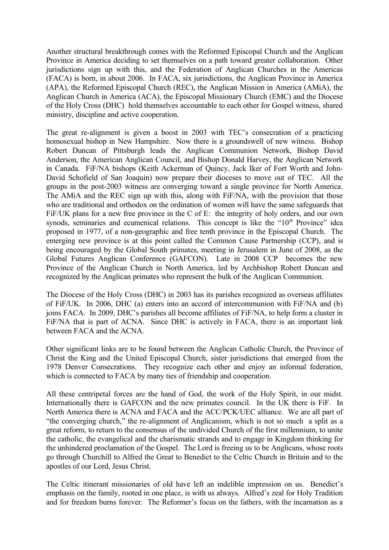Another structural breakthrough comes with the Reformed Episcopal Church and the Anglican Province in America deciding to set themselves on a path toward greater collaboration. Other jurisdictions sign up with this, and the Federation of Anglican Churches in the Americas (FACA) is born, in about 2006. In FACA, six jurisdictions, the Anglican Province in America (APA), the Reformed Episcopal Church (REC), the Anglican Mission in America (AMiA), the Anglican Church in America (ACA), the Episcopal Missionary Church (EMC) and the Diocese of the Holy Cross (DHC) hold themselves accountable to each other for Gospel witness, shared ministry, discipline and active cooperation.

The great re-alignment is given a boost in 2003 with TEC's consecration of a practicing homosexual bishop in New Hampshire. Now there is a groundswell of new witness. Bishop Robert Duncan of Pittsburgh leads the Anglican Communion Network, Bishop David Anderson, the American Anglican Council, and Bishop Donald Harvey, the Anglican Network in Canada. FiF/NA bishops (Keith Ackerman of Quincy, Jack Iker of Fort Worth and John-David Schofield of San Joaquin) now prepare their dioceses to move out of TEC. All the groups in the post-2003 witness are converging toward a single province for North America. The AMiA and the REC sign up with this, along with FiF/NA, with the provision that those who are traditional and orthodox on the ordination of women will have the same safeguards that FiF/UK plans for a new free province in the C of E: the integrity of holy orders, and our own synods, seminaries and ecumenical relations. This concept is like the " $10<sup>th</sup>$  Province" idea proposed in 1977, of a non-geographic and free tenth province in the Episcopal Church. The emerging new province is at this point called the Common Cause Partnership (CCP), and is being encouraged by the Global South primates, meeting in Jerusalem in June of 2008, as the Global Futures Anglican Conference (GAFCON). Late in 2008 CCP becomes the new Province of the Anglican Church in North America, led by Archbishop Robert Duncan and recognized by the Anglican primates who represent the bulk of the Anglican Communion.

The Diocese of the Holy Cross (DHC) in 2003 has its parishes recognized as overseas affiliates of FiF/UK. In 2006, DHC (a) enters into an accord of intercommunion with FiF/NA and (b) joins FACA. In 2009, DHC's parishes all become affiliates of FiF/NA, to help form a cluster in FiF/NA that is part of ACNA. Since DHC is actively in FACA, there is an important link between FACA and the ACNA.

Other significant links are to be found between the Anglican Catholic Church, the Province of Christ the King and the United Episcopal Church, sister jurisdictions that emerged from the 1978 Denver Consecrations. They recognize each other and enjoy an informal federation, which is connected to FACA by many ties of friendship and cooperation.

All these centripetal forces are the hand of God, the work of the Holy Spirit, in our midst. Internationally there is GAFCON and the new primates council. In the UK there is FiF. In North America there is ACNA and FACA and the ACC/PCK/UEC alliance. We are all part of "the converging church," the re-alignment of Anglicanism, which is not so much a split as a great reform, to return to the consensus of the undivided Church of the first millennium, to unite the catholic, the evangelical and the charismatic strands and to engage in Kingdom thinking for the unhindered proclamation of the Gospel. The Lord is freeing us to be Anglicans, whose roots go through Churchill to Alfred the Great to Benedict to the Celtic Church in Britain and to the apostles of our Lord, Jesus Christ.

The Celtic itinerant missionaries of old have left an indelible impression on us. Benedict's emphasis on the family, rooted in one place, is with us always. Alfred's zeal for Holy Tradition and for freedom burns forever. The Reformer's focus on the fathers, with the incarnation as a